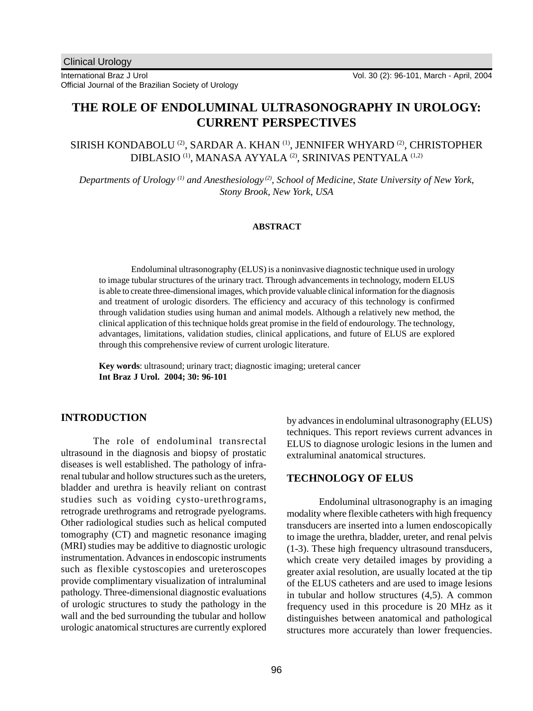# **THE ROLE OF ENDOLUMINAL ULTRASONOGRAPHY IN UROLOGY: CURRENT PERSPECTIVES**

SIRISH KONDABOLU <sup>(2)</sup>, SARDAR A. KHAN <sup>(1)</sup>, JENNIFER WHYARD <sup>(2)</sup>, CHRISTOPHER DIBLASIO <sup>(1)</sup>, MANASA AYYALA <sup>(2)</sup>, SRINIVAS PENTYALA <sup>(1,2)</sup>

*Departments of Urology (1) and Anesthesiology (2), School of Medicine, State University of New York, Stony Brook, New York, USA*

### **ABSTRACT**

Endoluminal ultrasonography (ELUS) is a noninvasive diagnostic technique used in urology to image tubular structures of the urinary tract. Through advancements in technology, modern ELUS is able to create three-dimensional images, which provide valuable clinical information for the diagnosis and treatment of urologic disorders. The efficiency and accuracy of this technology is confirmed through validation studies using human and animal models. Although a relatively new method, the clinical application of this technique holds great promise in the field of endourology. The technology, advantages, limitations, validation studies, clinical applications, and future of ELUS are explored through this comprehensive review of current urologic literature.

**Key words**: ultrasound; urinary tract; diagnostic imaging; ureteral cancer **Int Braz J Urol. 2004; 30: 96-101**

# **INTRODUCTION**

The role of endoluminal transrectal ultrasound in the diagnosis and biopsy of prostatic diseases is well established. The pathology of infrarenal tubular and hollow structures such as the ureters, bladder and urethra is heavily reliant on contrast studies such as voiding cysto-urethrograms, retrograde urethrograms and retrograde pyelograms. Other radiological studies such as helical computed tomography (CT) and magnetic resonance imaging (MRI) studies may be additive to diagnostic urologic instrumentation. Advances in endoscopic instruments such as flexible cystoscopies and ureteroscopes provide complimentary visualization of intraluminal pathology. Three-dimensional diagnostic evaluations of urologic structures to study the pathology in the wall and the bed surrounding the tubular and hollow urologic anatomical structures are currently explored

by advances in endoluminal ultrasonography (ELUS) techniques. This report reviews current advances in ELUS to diagnose urologic lesions in the lumen and extraluminal anatomical structures.

# **TECHNOLOGY OF ELUS**

Endoluminal ultrasonography is an imaging modality where flexible catheters with high frequency transducers are inserted into a lumen endoscopically to image the urethra, bladder, ureter, and renal pelvis (1-3). These high frequency ultrasound transducers, which create very detailed images by providing a greater axial resolution, are usually located at the tip of the ELUS catheters and are used to image lesions in tubular and hollow structures (4,5). A common frequency used in this procedure is 20 MHz as it distinguishes between anatomical and pathological structures more accurately than lower frequencies.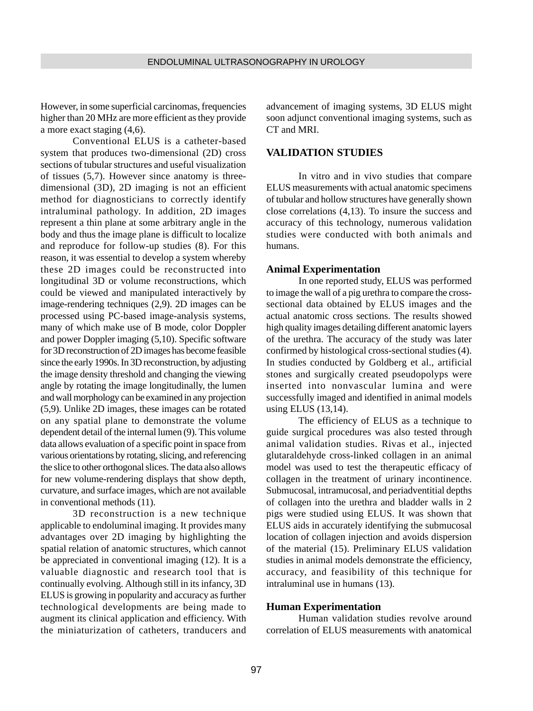However, in some superficial carcinomas, frequencies higher than 20 MHz are more efficient as they provide a more exact staging (4,6).

Conventional ELUS is a catheter-based system that produces two-dimensional (2D) cross sections of tubular structures and useful visualization of tissues (5,7). However since anatomy is threedimensional (3D), 2D imaging is not an efficient method for diagnosticians to correctly identify intraluminal pathology. In addition, 2D images represent a thin plane at some arbitrary angle in the body and thus the image plane is difficult to localize and reproduce for follow-up studies (8). For this reason, it was essential to develop a system whereby these 2D images could be reconstructed into longitudinal 3D or volume reconstructions, which could be viewed and manipulated interactively by image-rendering techniques (2,9). 2D images can be processed using PC-based image-analysis systems, many of which make use of B mode, color Doppler and power Doppler imaging (5,10). Specific software for 3D reconstruction of 2D images has become feasible since the early 1990s. In 3D reconstruction, by adjusting the image density threshold and changing the viewing angle by rotating the image longitudinally, the lumen and wall morphology can be examined in any projection (5,9). Unlike 2D images, these images can be rotated on any spatial plane to demonstrate the volume dependent detail of the internal lumen (9). This volume data allows evaluation of a specific point in space from various orientations by rotating, slicing, and referencing the slice to other orthogonal slices. The data also allows for new volume-rendering displays that show depth, curvature, and surface images, which are not available in conventional methods (11).

3D reconstruction is a new technique applicable to endoluminal imaging. It provides many advantages over 2D imaging by highlighting the spatial relation of anatomic structures, which cannot be appreciated in conventional imaging (12). It is a valuable diagnostic and research tool that is continually evolving. Although still in its infancy, 3D ELUS is growing in popularity and accuracy as further technological developments are being made to augment its clinical application and efficiency. With the miniaturization of catheters, tranducers and advancement of imaging systems, 3D ELUS might soon adjunct conventional imaging systems, such as CT and MRI.

### **VALIDATION STUDIES**

In vitro and in vivo studies that compare ELUS measurements with actual anatomic specimens of tubular and hollow structures have generally shown close correlations (4,13). To insure the success and accuracy of this technology, numerous validation studies were conducted with both animals and humans.

#### **Animal Experimentation**

In one reported study, ELUS was performed to image the wall of a pig urethra to compare the crosssectional data obtained by ELUS images and the actual anatomic cross sections. The results showed high quality images detailing different anatomic layers of the urethra. The accuracy of the study was later confirmed by histological cross-sectional studies (4). In studies conducted by Goldberg et al., artificial stones and surgically created pseudopolyps were inserted into nonvascular lumina and were successfully imaged and identified in animal models using ELUS (13,14).

The efficiency of ELUS as a technique to guide surgical procedures was also tested through animal validation studies. Rivas et al., injected glutaraldehyde cross-linked collagen in an animal model was used to test the therapeutic efficacy of collagen in the treatment of urinary incontinence. Submucosal, intramucosal, and periadventitial depths of collagen into the urethra and bladder walls in 2 pigs were studied using ELUS. It was shown that ELUS aids in accurately identifying the submucosal location of collagen injection and avoids dispersion of the material (15). Preliminary ELUS validation studies in animal models demonstrate the efficiency, accuracy, and feasibility of this technique for intraluminal use in humans (13).

#### **Human Experimentation**

Human validation studies revolve around correlation of ELUS measurements with anatomical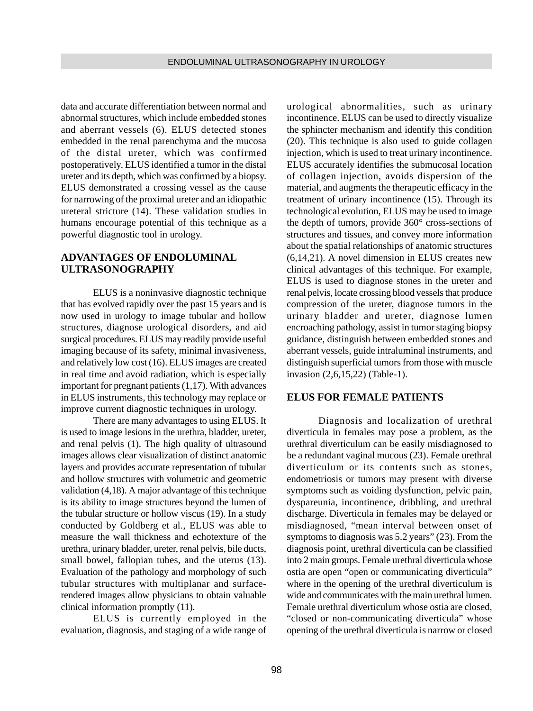data and accurate differentiation between normal and abnormal structures, which include embedded stones and aberrant vessels (6). ELUS detected stones embedded in the renal parenchyma and the mucosa of the distal ureter, which was confirmed postoperatively. ELUS identified a tumor in the distal ureter and its depth, which was confirmed by a biopsy. ELUS demonstrated a crossing vessel as the cause for narrowing of the proximal ureter and an idiopathic ureteral stricture (14). These validation studies in humans encourage potential of this technique as a powerful diagnostic tool in urology.

# **ADVANTAGES OF ENDOLUMINAL ULTRASONOGRAPHY**

ELUS is a noninvasive diagnostic technique that has evolved rapidly over the past 15 years and is now used in urology to image tubular and hollow structures, diagnose urological disorders, and aid surgical procedures. ELUS may readily provide useful imaging because of its safety, minimal invasiveness, and relatively low cost (16). ELUS images are created in real time and avoid radiation, which is especially important for pregnant patients (1,17). With advances in ELUS instruments, this technology may replace or improve current diagnostic techniques in urology.

There are many advantages to using ELUS. It is used to image lesions in the urethra, bladder, ureter, and renal pelvis (1). The high quality of ultrasound images allows clear visualization of distinct anatomic layers and provides accurate representation of tubular and hollow structures with volumetric and geometric validation (4,18). A major advantage of this technique is its ability to image structures beyond the lumen of the tubular structure or hollow viscus (19). In a study conducted by Goldberg et al., ELUS was able to measure the wall thickness and echotexture of the urethra, urinary bladder, ureter, renal pelvis, bile ducts, small bowel, fallopian tubes, and the uterus (13). Evaluation of the pathology and morphology of such tubular structures with multiplanar and surfacerendered images allow physicians to obtain valuable clinical information promptly (11).

ELUS is currently employed in the evaluation, diagnosis, and staging of a wide range of

urological abnormalities, such as urinary incontinence. ELUS can be used to directly visualize the sphincter mechanism and identify this condition (20). This technique is also used to guide collagen injection, which is used to treat urinary incontinence. ELUS accurately identifies the submucosal location of collagen injection, avoids dispersion of the material, and augments the therapeutic efficacy in the treatment of urinary incontinence (15). Through its technological evolution, ELUS may be used to image the depth of tumors, provide 360° cross-sections of structures and tissues, and convey more information about the spatial relationships of anatomic structures (6,14,21). A novel dimension in ELUS creates new clinical advantages of this technique. For example, ELUS is used to diagnose stones in the ureter and renal pelvis, locate crossing blood vessels that produce compression of the ureter, diagnose tumors in the urinary bladder and ureter, diagnose lumen encroaching pathology, assist in tumor staging biopsy guidance, distinguish between embedded stones and aberrant vessels, guide intraluminal instruments, and distinguish superficial tumors from those with muscle invasion (2,6,15,22) (Table-1).

### **ELUS FOR FEMALE PATIENTS**

Diagnosis and localization of urethral diverticula in females may pose a problem, as the urethral diverticulum can be easily misdiagnosed to be a redundant vaginal mucous (23). Female urethral diverticulum or its contents such as stones, endometriosis or tumors may present with diverse symptoms such as voiding dysfunction, pelvic pain, dyspareunia, incontinence, dribbling, and urethral discharge. Diverticula in females may be delayed or misdiagnosed, "mean interval between onset of symptoms to diagnosis was 5.2 years" (23). From the diagnosis point, urethral diverticula can be classified into 2 main groups. Female urethral diverticula whose ostia are open "open or communicating diverticula" where in the opening of the urethral diverticulum is wide and communicates with the main urethral lumen. Female urethral diverticulum whose ostia are closed, "closed or non-communicating diverticula" whose opening of the urethral diverticula is narrow or closed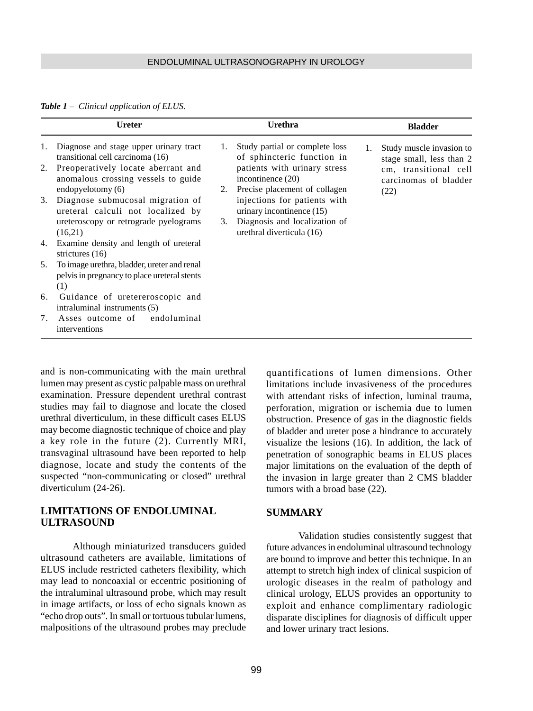#### ENDOLUMINAL ULTRASONOGRAPHY IN UROLOGY

#### *Table 1 – Clinical application of ELUS.*

|    | <b>Ureter</b>                                                                                      |    | Urethra                                                      |    | <b>Bladder</b>                                         |
|----|----------------------------------------------------------------------------------------------------|----|--------------------------------------------------------------|----|--------------------------------------------------------|
| 1. | Diagnose and stage upper urinary tract<br>transitional cell carcinoma (16)                         | 1. | Study partial or complete loss<br>of sphincteric function in | 1. | Study muscle invasion to<br>stage small, less than 2   |
| 2. | Preoperatively locate aberrant and<br>anomalous crossing vessels to guide                          |    | patients with urinary stress<br>incontinence $(20)$          |    | cm, transitional cell<br>carcinomas of bladder<br>(22) |
|    | endopyelotomy $(6)$                                                                                | 2. | Precise placement of collagen                                |    |                                                        |
| 3. | Diagnose submucosal migration of<br>ureteral calculi not localized by                              |    | injections for patients with<br>urinary incontinence (15)    |    |                                                        |
|    | ureteroscopy or retrograde pyelograms<br>(16,21)                                                   | 3. | Diagnosis and localization of<br>urethral diverticula (16)   |    |                                                        |
| 4. | Examine density and length of ureteral<br>strictures $(16)$                                        |    |                                                              |    |                                                        |
| 5. | To image urethra, bladder, ureter and renal<br>pelvis in pregnancy to place ureteral stents<br>(1) |    |                                                              |    |                                                        |
| 6. | Guidance of uretereroscopic and<br>intraluminal instruments (5)                                    |    |                                                              |    |                                                        |
| 7. | Asses outcome of endoluminal<br>interventions                                                      |    |                                                              |    |                                                        |

and is non-communicating with the main urethral lumen may present as cystic palpable mass on urethral examination. Pressure dependent urethral contrast studies may fail to diagnose and locate the closed urethral diverticulum, in these difficult cases ELUS may become diagnostic technique of choice and play a key role in the future (2). Currently MRI, transvaginal ultrasound have been reported to help diagnose, locate and study the contents of the suspected "non-communicating or closed" urethral diverticulum (24-26).

# **LIMITATIONS OF ENDOLUMINAL ULTRASOUND**

Although miniaturized transducers guided ultrasound catheters are available, limitations of ELUS include restricted catheters flexibility, which may lead to noncoaxial or eccentric positioning of the intraluminal ultrasound probe, which may result in image artifacts, or loss of echo signals known as "echo drop outs". In small or tortuous tubular lumens, malpositions of the ultrasound probes may preclude

quantifications of lumen dimensions. Other limitations include invasiveness of the procedures with attendant risks of infection, luminal trauma, perforation, migration or ischemia due to lumen obstruction. Presence of gas in the diagnostic fields of bladder and ureter pose a hindrance to accurately visualize the lesions (16). In addition, the lack of penetration of sonographic beams in ELUS places major limitations on the evaluation of the depth of the invasion in large greater than 2 CMS bladder tumors with a broad base (22).

### **SUMMARY**

Validation studies consistently suggest that future advances in endoluminal ultrasound technology are bound to improve and better this technique. In an attempt to stretch high index of clinical suspicion of urologic diseases in the realm of pathology and clinical urology, ELUS provides an opportunity to exploit and enhance complimentary radiologic disparate disciplines for diagnosis of difficult upper and lower urinary tract lesions.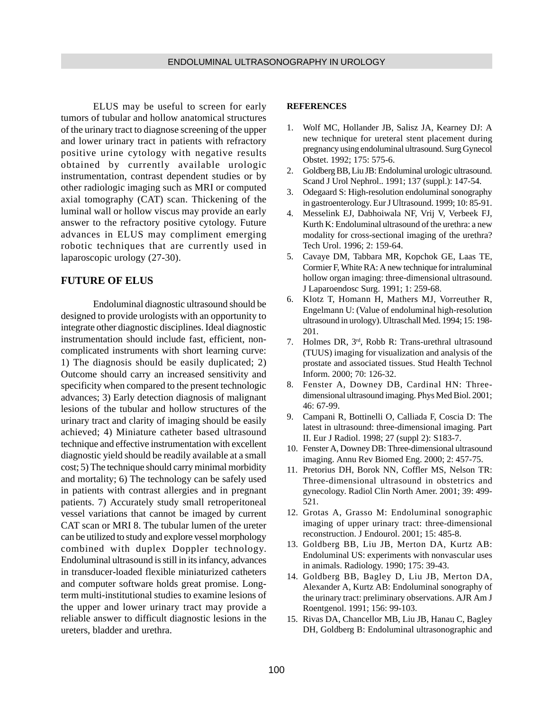ELUS may be useful to screen for early tumors of tubular and hollow anatomical structures of the urinary tract to diagnose screening of the upper and lower urinary tract in patients with refractory positive urine cytology with negative results obtained by currently available urologic instrumentation, contrast dependent studies or by other radiologic imaging such as MRI or computed axial tomography (CAT) scan. Thickening of the luminal wall or hollow viscus may provide an early answer to the refractory positive cytology. Future advances in ELUS may compliment emerging robotic techniques that are currently used in laparoscopic urology (27-30).

## **FUTURE OF ELUS**

Endoluminal diagnostic ultrasound should be designed to provide urologists with an opportunity to integrate other diagnostic disciplines. Ideal diagnostic instrumentation should include fast, efficient, noncomplicated instruments with short learning curve: 1) The diagnosis should be easily duplicated; 2) Outcome should carry an increased sensitivity and specificity when compared to the present technologic advances; 3) Early detection diagnosis of malignant lesions of the tubular and hollow structures of the urinary tract and clarity of imaging should be easily achieved; 4) Miniature catheter based ultrasound technique and effective instrumentation with excellent diagnostic yield should be readily available at a small cost; 5) The technique should carry minimal morbidity and mortality; 6) The technology can be safely used in patients with contrast allergies and in pregnant patients. 7) Accurately study small retroperitoneal vessel variations that cannot be imaged by current CAT scan or MRI 8. The tubular lumen of the ureter can be utilized to study and explore vessel morphology combined with duplex Doppler technology. Endoluminal ultrasound is still in its infancy, advances in transducer-loaded flexible miniaturized catheters and computer software holds great promise. Longterm multi-institutional studies to examine lesions of the upper and lower urinary tract may provide a reliable answer to difficult diagnostic lesions in the ureters, bladder and urethra.

#### **REFERENCES**

- 1. Wolf MC, Hollander JB, Salisz JA, Kearney DJ: A new technique for ureteral stent placement during pregnancy using endoluminal ultrasound. Surg Gynecol Obstet. 1992; 175: 575-6.
- 2. Goldberg BB, Liu JB: Endoluminal urologic ultrasound. Scand J Urol Nephrol.. 1991; 137 (suppl.): 147-54.
- 3. Odegaard S: High-resolution endoluminal sonography in gastroenterology. Eur J Ultrasound. 1999; 10: 85-91.
- 4. Messelink EJ, Dabhoiwala NF, Vrij V, Verbeek FJ, Kurth K: Endoluminal ultrasound of the urethra: a new modality for cross-sectional imaging of the urethra? Tech Urol. 1996; 2: 159-64.
- 5. Cavaye DM, Tabbara MR, Kopchok GE, Laas TE, Cormier F, White RA: A new technique for intraluminal hollow organ imaging: three-dimensional ultrasound. J Laparoendosc Surg. 1991; 1: 259-68.
- 6. Klotz T, Homann H, Mathers MJ, Vorreuther R, Engelmann U: (Value of endoluminal high-resolution ultrasound in urology). Ultraschall Med. 1994; 15: 198- 201.
- 7. Holmes DR, 3rd, Robb R: Trans-urethral ultrasound (TUUS) imaging for visualization and analysis of the prostate and associated tissues. Stud Health Technol Inform. 2000; 70: 126-32.
- 8. Fenster A, Downey DB, Cardinal HN: Threedimensional ultrasound imaging. Phys Med Biol. 2001; 46: 67-99.
- 9. Campani R, Bottinelli O, Calliada F, Coscia D: The latest in ultrasound: three-dimensional imaging. Part II. Eur J Radiol. 1998; 27 (suppl 2): S183-7.
- 10. Fenster A, Downey DB: Three-dimensional ultrasound imaging. Annu Rev Biomed Eng. 2000; 2: 457-75.
- 11. Pretorius DH, Borok NN, Coffler MS, Nelson TR: Three-dimensional ultrasound in obstetrics and gynecology. Radiol Clin North Amer. 2001; 39: 499- 521.
- 12. Grotas A, Grasso M: Endoluminal sonographic imaging of upper urinary tract: three-dimensional reconstruction. J Endourol. 2001; 15: 485-8.
- 13. Goldberg BB, Liu JB, Merton DA, Kurtz AB: Endoluminal US: experiments with nonvascular uses in animals. Radiology. 1990; 175: 39-43.
- 14. Goldberg BB, Bagley D, Liu JB, Merton DA, Alexander A, Kurtz AB: Endoluminal sonography of the urinary tract: preliminary observations. AJR Am J Roentgenol. 1991; 156: 99-103.
- 15. Rivas DA, Chancellor MB, Liu JB, Hanau C, Bagley DH, Goldberg B: Endoluminal ultrasonographic and